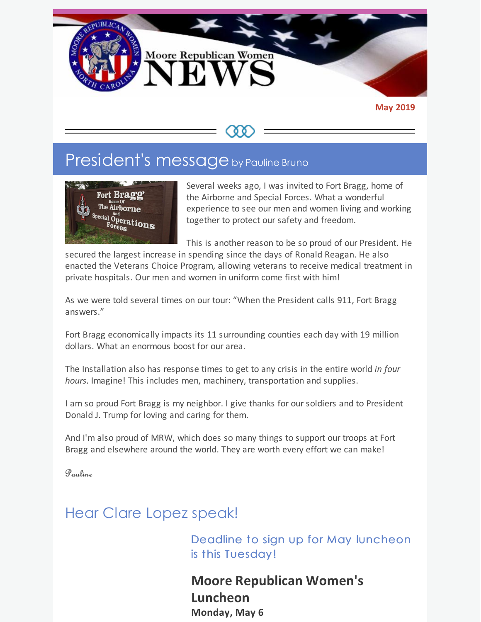

#### **May 2019**

# President's message by Pauline Bruno



Several weeks ago, I was invited to Fort Bragg, home of the Airborne and Special Forces. What a wonderful experience to see our men and women living and working together to protect our safety and freedom.

This is another reason to be so proud of our President. He

secured the largest increase in spending since the days of Ronald Reagan. He also enacted the Veterans Choice Program, allowing veterans to receive medical treatment in private hospitals. Our men and women in uniform come first with him!

As we were told several times on our tour: "When the President calls 911, Fort Bragg answers."

Fort Bragg economically impacts its 11 surrounding counties each day with 19 million dollars. What an enormous boost for our area.

The Installation also has response times to get to any crisis in the entire world *in four hours*. Imagine! This includes men, machinery, transportation and supplies.

I am so proud Fort Bragg is my neighbor. I give thanks for our soldiers and to President Donald J. Trump for loving and caring for them.

And I'm also proud of MRW, which does so many things to support our troops at Fort Bragg and elsewhere around the world. They are worth every effort we can make!

Pauline

## Hear Clare Lopez speak!

Deadline to sign up for May luncheon is this Tuesday!

**Moore Republican Women's Luncheon Monday, May 6**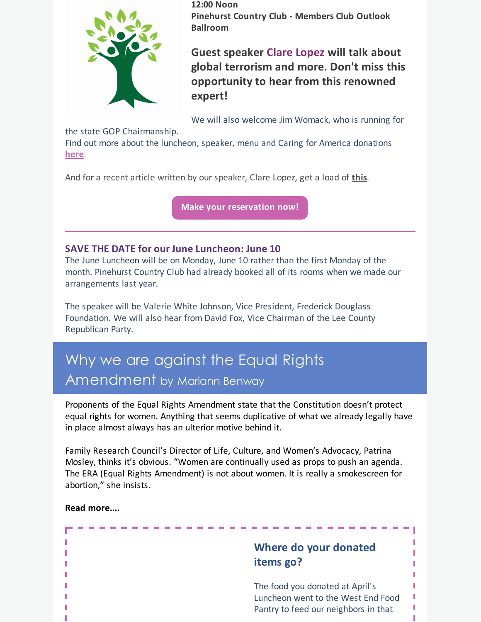

**12:00 Noon Pinehurst Country Club - Members Club Outlook Ballroom**

**Guest speaker Clare Lopez will talk about global terrorism and more. Don't miss this opportunity to hear from this renowned expert!**

We will also welcome Jim Womack, who is running for

the state GOP Chairmanship.

Find out more about the luncheon, speaker, menu and Caring for America donations **[here](https://files.constantcontact.com/30571cb6701/7ec36f4b-a459-4d48-b681-176f9e6f7b61.pdf)**.

And for a recent article written by our speaker, Clare Lopez, get a load of **[this](https://pjmedia.com/homeland-security/photos-surface-revealing-2017-closed-door-meeting-between-rep-ilhan-omar-and-turkish-president-erdogan/)**.

**Make your [reservation](https://www.mrwnc.com/luncheon-reservation.html) now!**

### **SAVE THE DATE for our June Luncheon: June 10**

The June Luncheon will be on Monday, June 10 rather than the first Monday of the month. Pinehurst Country Club had already booked all of its rooms when we made our arrangements last year.

The speaker will be Valerie White Johnson, Vice President, Frederick Douglass Foundation. We will also hear from David Fox, Vice Chairman of the Lee County Republican Party.

# Why we are against the Equal Rights Amendment by Mariann Benway

Proponents of the Equal Rights Amendment state that the Constitution doesn't protect equal rights for women. Anything that seems duplicative of what we already legally have in place almost always has an ulterior motive behind it.

Family Research Council's Director of Life, Culture, and Women's Advocacy, Patrina Mosley, thinks it's obvious. "Women are continually used as props to push an agenda. The ERA (Equal Rights Amendment) is not about women. It is really a smokescreen for abortion," she insists.

**Read [more....](https://files.constantcontact.com/30571cb6701/3bc93652-0f67-4e9a-a448-51ace39ee011.pdf)**

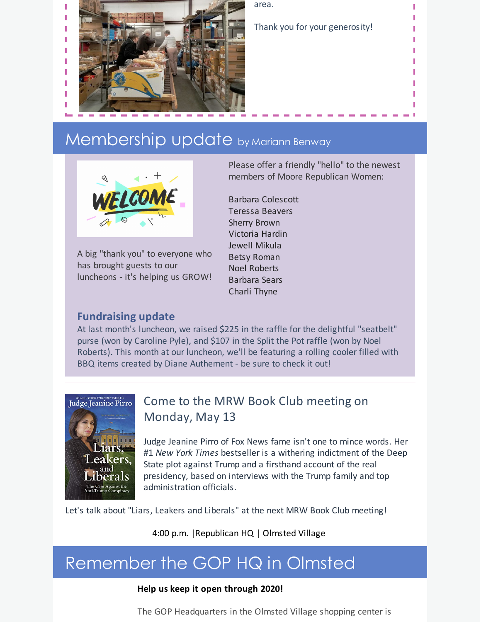

area.

Thank you for your generosity!

# Membership update by Mariann Benway



A big "thank you" to everyone who has brought guests to our luncheons - it's helping us GROW!

Please offer a friendly "hello" to the newest members of Moore Republican Women:

Barbara Colescott Teressa Beavers Sherry Brown Victoria Hardin Jewell Mikula Betsy Roman Noel Roberts Barbara Sears Charli Thyne

## **Fundraising update**

At last month's luncheon, we raised \$225 in the raffle for the delightful "seatbelt" purse (won by Caroline Pyle), and \$107 in the Split the Pot raffle (won by Noel Roberts). This month at our luncheon, we'll be featuring a rolling cooler filled with BBQ items created by Diane Authement - be sure to check it out!



## Come to the MRW Book Club meeting on Monday, May 13

Judge Jeanine Pirro of Fox News fame isn't one to mince words. Her #1 *New York Times* bestseller is a withering indictment of the Deep State plot against Trump and a firsthand account of the real presidency, based on interviews with the Trump family and top administration officials.

Let's talk about "Liars, Leakers and Liberals" at the next MRW Book Club meeting!

4:00 p.m. |Republican HQ | Olmsted Village

# Remember the GOP HQ in Olmsted

### **Help us keep it open through 2020!**

The GOP Headquarters in the Olmsted Village shopping center is